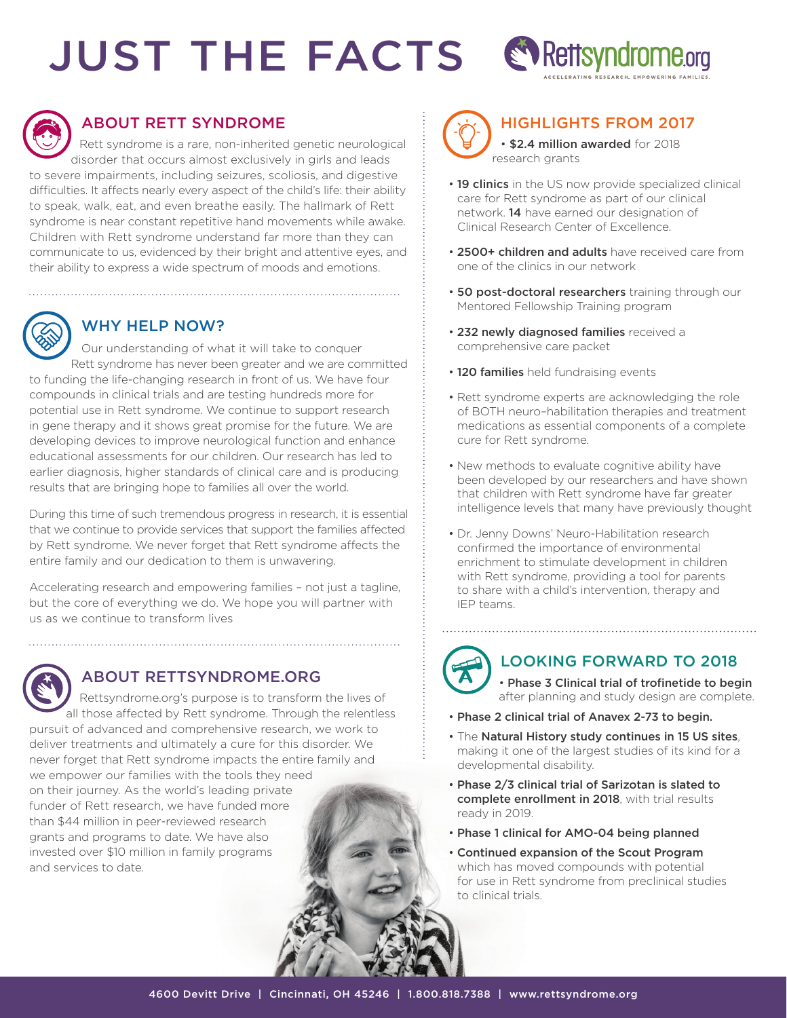# **JUST THE FACTS & Rettsyndrome.org**





# ABOUT RETT SYNDROME

 Rett syndrome is a rare, non-inherited genetic neurological disorder that occurs almost exclusively in girls and leads to severe impairments, including seizures, scoliosis, and digestive difficulties. It affects nearly every aspect of the child's life: their ability to speak, walk, eat, and even breathe easily. The hallmark of Rett syndrome is near constant repetitive hand movements while awake. Children with Rett syndrome understand far more than they can communicate to us, evidenced by their bright and attentive eyes, and their ability to express a wide spectrum of moods and emotions.



# WHY HELP NOW?

 Our understanding of what it will take to conquer Rett syndrome has never been greater and we are committed to funding the life-changing research in front of us. We have four compounds in clinical trials and are testing hundreds more for potential use in Rett syndrome. We continue to support research in gene therapy and it shows great promise for the future. We are developing devices to improve neurological function and enhance educational assessments for our children. Our research has led to earlier diagnosis, higher standards of clinical care and is producing results that are bringing hope to families all over the world.

During this time of such tremendous progress in research, it is essential that we continue to provide services that support the families affected by Rett syndrome. We never forget that Rett syndrome affects the entire family and our dedication to them is unwavering.

Accelerating research and empowering families – not just a tagline, but the core of everything we do. We hope you will partner with us as we continue to transform lives



# ABOUT RETTSYNDROME.ORG

 Rettsyndrome.org's purpose is to transform the lives of all those affected by Rett syndrome. Through the relentless pursuit of advanced and comprehensive research, we work to deliver treatments and ultimately a cure for this disorder. We never forget that Rett syndrome impacts the entire family and we empower our families with the tools they need

on their journey. As the world's leading private funder of Rett research, we have funded more than \$44 million in peer-reviewed research grants and programs to date. We have also invested over \$10 million in family programs and services to date.



# HIGHLIGHTS FROM 2017

 • \$2.4 million awarded for 2018 research grants

- 19 clinics in the US now provide specialized clinical care for Rett syndrome as part of our clinical network. 14 have earned our designation of Clinical Research Center of Excellence.
- 2500+ children and adults have received care from one of the clinics in our network
- 50 post-doctoral researchers training through our Mentored Fellowship Training program
- 232 newly diagnosed families received a comprehensive care packet
- 120 families held fundraising events
- Rett syndrome experts are acknowledging the role of BOTH neuro–habilitation therapies and treatment medications as essential components of a complete cure for Rett syndrome.
- New methods to evaluate cognitive ability have been developed by our researchers and have shown that children with Rett syndrome have far greater intelligence levels that many have previously thought
- Dr. Jenny Downs' Neuro-Habilitation research confirmed the importance of environmental enrichment to stimulate development in children with Rett syndrome, providing a tool for parents to share with a child's intervention, therapy and IEP teams.



# LOOKING FORWARD TO 2018

 • Phase 3 Clinical trial of trofinetide to begin after planning and study design are complete.

- Phase 2 clinical trial of Anavex 2-73 to begin.
- The Natural History study continues in 15 US sites, making it one of the largest studies of its kind for a developmental disability.
- Phase 2/3 clinical trial of Sarizotan is slated to complete enrollment in 2018, with trial results ready in 2019.
- Phase 1 clinical for AMO-04 being planned
- Continued expansion of the Scout Program which has moved compounds with potential for use in Rett syndrome from preclinical studies to clinical trials.